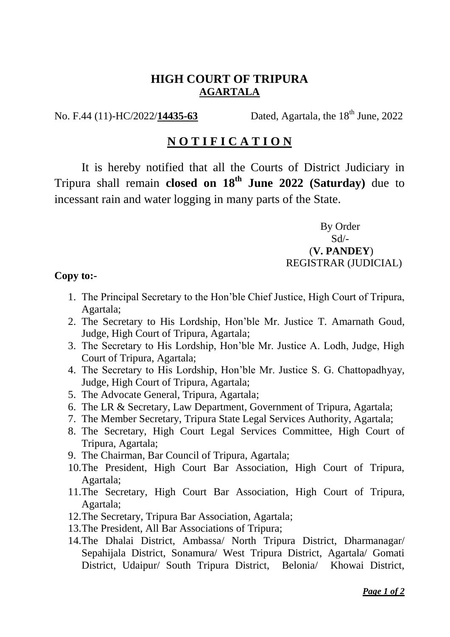## **HIGH COURT OF TRIPURA AGARTALA**

No. F.44 (11)-HC/2022/14435-63 Dated, Agartala, the 18<sup>th</sup> June, 2022

## **N O T I F I C A T I O N**

It is hereby notified that all the Courts of District Judiciary in Tripura shall remain **closed on 18th June 2022 (Saturday)** due to incessant rain and water logging in many parts of the State.

> By Order  $Sd$ <sup>-</sup> (**V. PANDEY**) REGISTRAR (JUDICIAL)

## **Copy to:-**

- 1. The Principal Secretary to the Hon'ble Chief Justice, High Court of Tripura, Agartala;
- 2. The Secretary to His Lordship, Hon'ble Mr. Justice T. Amarnath Goud, Judge, High Court of Tripura, Agartala;
- 3. The Secretary to His Lordship, Hon'ble Mr. Justice A. Lodh, Judge, High Court of Tripura, Agartala;
- 4. The Secretary to His Lordship, Hon'ble Mr. Justice S. G. Chattopadhyay, Judge, High Court of Tripura, Agartala;
- 5. The Advocate General, Tripura, Agartala;
- 6. The LR & Secretary, Law Department, Government of Tripura, Agartala;
- 7. The Member Secretary, Tripura State Legal Services Authority, Agartala;
- 8. The Secretary, High Court Legal Services Committee, High Court of Tripura, Agartala;
- 9. The Chairman, Bar Council of Tripura, Agartala;
- 10.The President, High Court Bar Association, High Court of Tripura, Agartala;
- 11.The Secretary, High Court Bar Association, High Court of Tripura, Agartala;
- 12.The Secretary, Tripura Bar Association, Agartala;
- 13.The President, All Bar Associations of Tripura;
- 14.The Dhalai District, Ambassa/ North Tripura District, Dharmanagar/ Sepahijala District, Sonamura/ West Tripura District, Agartala/ Gomati District, Udaipur/ South Tripura District, Belonia/ Khowai District,